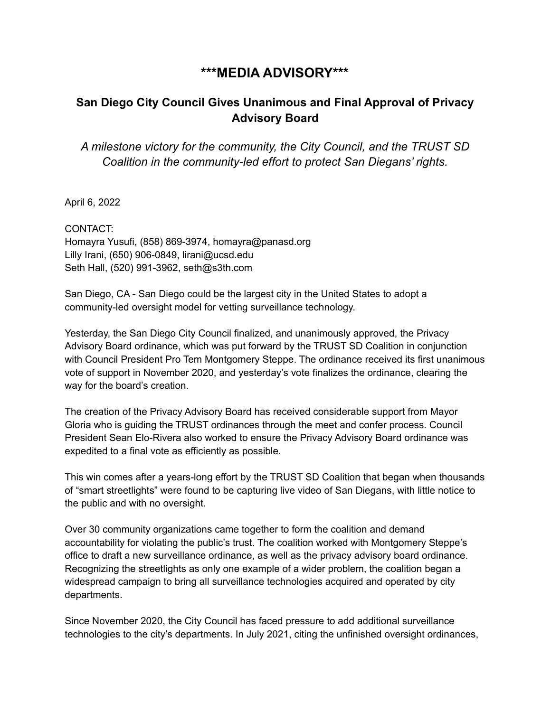## **\*\*\*MEDIA ADVISORY\*\*\***

## **San Diego City Council Gives Unanimous and Final Approval of Privacy Advisory Board**

*A milestone victory for the community, the City Council, and the TRUST SD Coalition in the community-led effort to protect San Diegans' rights.*

April 6, 2022

CONTACT: Homayra Yusufi, (858) 869-3974, homayra@panasd.org Lilly Irani, (650) 906-0849, lirani@ucsd.edu Seth Hall, (520) 991-3962, seth@s3th.com

San Diego, CA - San Diego could be the largest city in the United States to adopt a community-led oversight model for vetting surveillance technology.

Yesterday, the San Diego City Council finalized, and unanimously approved, the Privacy Advisory Board ordinance, which was put forward by the TRUST SD Coalition in conjunction with Council President Pro Tem Montgomery Steppe. The ordinance received its first unanimous vote of support in November 2020, and yesterday's vote finalizes the ordinance, clearing the way for the board's creation.

The creation of the Privacy Advisory Board has received considerable support from Mayor Gloria who is guiding the TRUST ordinances through the meet and confer process. Council President Sean Elo-Rivera also worked to ensure the Privacy Advisory Board ordinance was expedited to a final vote as efficiently as possible.

This win comes after a years-long effort by the TRUST SD Coalition that began when thousands of "smart streetlights" were found to be capturing live video of San Diegans, with little notice to the public and with no oversight.

Over 30 community organizations came together to form the coalition and demand accountability for violating the public's trust. The coalition worked with Montgomery Steppe's office to draft a new surveillance ordinance, as well as the privacy advisory board ordinance. Recognizing the streetlights as only one example of a wider problem, the coalition began a widespread campaign to bring all surveillance technologies acquired and operated by city departments.

Since November 2020, the City Council has faced pressure to add additional surveillance technologies to the city's departments. In July 2021, citing the unfinished oversight ordinances,